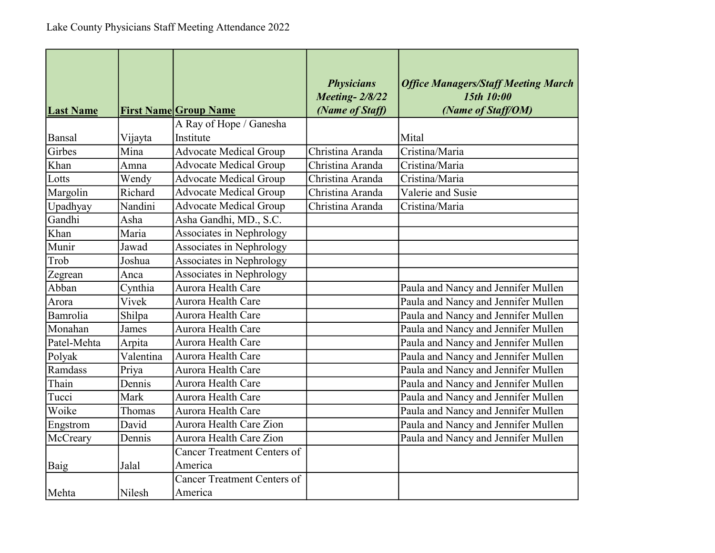| <b>Last Name</b> |           | <b>First Name Group Name</b>       | <b>Physicians</b><br><b>Meeting-2/8/22</b><br>(Name of Staff) | <b>Office Managers/Staff Meeting March</b><br>15th 10:00<br>(Name of Staff/OM) |
|------------------|-----------|------------------------------------|---------------------------------------------------------------|--------------------------------------------------------------------------------|
|                  |           | A Ray of Hope / Ganesha            |                                                               |                                                                                |
| Bansal           | Vijayta   | Institute                          |                                                               | Mital                                                                          |
| Girbes           | Mina      | <b>Advocate Medical Group</b>      | Christina Aranda                                              | Cristina/Maria                                                                 |
| Khan             | Amna      | <b>Advocate Medical Group</b>      | Christina Aranda                                              | Cristina/Maria                                                                 |
| Lotts            | Wendy     | <b>Advocate Medical Group</b>      | Christina Aranda                                              | Cristina/Maria                                                                 |
| Margolin         | Richard   | <b>Advocate Medical Group</b>      | Christina Aranda                                              | Valerie and Susie                                                              |
| Upadhyay         | Nandini   | <b>Advocate Medical Group</b>      | Christina Aranda                                              | Cristina/Maria                                                                 |
| Gandhi           | Asha      | Asha Gandhi, MD., S.C.             |                                                               |                                                                                |
| Khan             | Maria     | Associates in Nephrology           |                                                               |                                                                                |
| Munir            | Jawad     | Associates in Nephrology           |                                                               |                                                                                |
| Trob             | Joshua    | Associates in Nephrology           |                                                               |                                                                                |
| Zegrean          | Anca      | Associates in Nephrology           |                                                               |                                                                                |
| Abban            | Cynthia   | Aurora Health Care                 |                                                               | Paula and Nancy and Jennifer Mullen                                            |
| Arora            | Vivek     | Aurora Health Care                 |                                                               | Paula and Nancy and Jennifer Mullen                                            |
| Bamrolia         | Shilpa    | Aurora Health Care                 |                                                               | Paula and Nancy and Jennifer Mullen                                            |
| Monahan          | James     | Aurora Health Care                 |                                                               | Paula and Nancy and Jennifer Mullen                                            |
| Patel-Mehta      | Arpita    | Aurora Health Care                 |                                                               | Paula and Nancy and Jennifer Mullen                                            |
| Polyak           | Valentina | Aurora Health Care                 |                                                               | Paula and Nancy and Jennifer Mullen                                            |
| Ramdass          | Priya     | Aurora Health Care                 |                                                               | Paula and Nancy and Jennifer Mullen                                            |
| Thain            | Dennis    | Aurora Health Care                 |                                                               | Paula and Nancy and Jennifer Mullen                                            |
| Tucci            | Mark      | Aurora Health Care                 |                                                               | Paula and Nancy and Jennifer Mullen                                            |
| Woike            | Thomas    | Aurora Health Care                 |                                                               | Paula and Nancy and Jennifer Mullen                                            |
| Engstrom         | David     | Aurora Health Care Zion            |                                                               | Paula and Nancy and Jennifer Mullen                                            |
| McCreary         | Dennis    | Aurora Health Care Zion            |                                                               | Paula and Nancy and Jennifer Mullen                                            |
|                  |           | <b>Cancer Treatment Centers of</b> |                                                               |                                                                                |
| Baig             | Jalal     | America                            |                                                               |                                                                                |
|                  |           | <b>Cancer Treatment Centers of</b> |                                                               |                                                                                |
| Mehta            | Nilesh    | America                            |                                                               |                                                                                |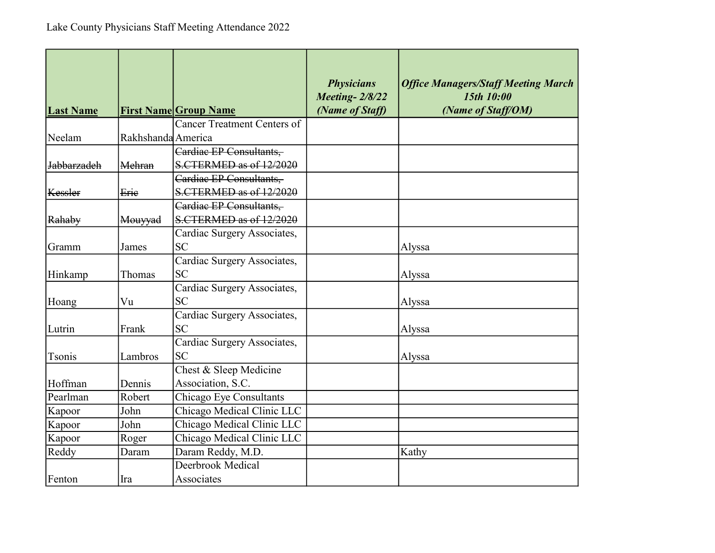| <b>Last Name</b>   |                    | <b>First Name Group Name</b>       | <b>Physicians</b><br><b>Meeting-2/8/22</b><br>(Name of Staff) | <b>Office Managers/Staff Meeting March</b><br>15th 10:00<br>(Name of Staff/OM) |
|--------------------|--------------------|------------------------------------|---------------------------------------------------------------|--------------------------------------------------------------------------------|
|                    |                    | <b>Cancer Treatment Centers of</b> |                                                               |                                                                                |
| Neelam             | Rakhshanda America |                                    |                                                               |                                                                                |
|                    |                    | Cardiac EP Consultants,            |                                                               |                                                                                |
| <b>Jabbarzadeh</b> | Mehran             | S.CTERMED as of 12/2020            |                                                               |                                                                                |
|                    |                    | Cardiac EP Consultants,            |                                                               |                                                                                |
| Kessler            | Erie               | S.CTERMED as of 12/2020            |                                                               |                                                                                |
|                    |                    | Cardiac EP Consultants,            |                                                               |                                                                                |
| Rahaby             | Mouyyad            | S.CTERMED as of 12/2020            |                                                               |                                                                                |
|                    |                    | Cardiac Surgery Associates,        |                                                               |                                                                                |
| Gramm              | James              | <b>SC</b>                          |                                                               | Alyssa                                                                         |
|                    |                    | Cardiac Surgery Associates,        |                                                               |                                                                                |
| Hinkamp            | Thomas             | <b>SC</b>                          |                                                               | Alyssa                                                                         |
|                    |                    | Cardiac Surgery Associates,        |                                                               |                                                                                |
| Hoang              | Vu                 | <b>SC</b>                          |                                                               | Alyssa                                                                         |
|                    |                    | Cardiac Surgery Associates,        |                                                               |                                                                                |
| Lutrin             | Frank              | <b>SC</b>                          |                                                               | Alyssa                                                                         |
|                    |                    | Cardiac Surgery Associates,        |                                                               |                                                                                |
| Tsonis             | Lambros            | <b>SC</b>                          |                                                               | Alyssa                                                                         |
|                    |                    | Chest & Sleep Medicine             |                                                               |                                                                                |
| Hoffman            | Dennis             | Association, S.C.                  |                                                               |                                                                                |
| Pearlman           | Robert             | Chicago Eye Consultants            |                                                               |                                                                                |
| Kapoor             | John               | Chicago Medical Clinic LLC         |                                                               |                                                                                |
| Kapoor             | John               | Chicago Medical Clinic LLC         |                                                               |                                                                                |
| Kapoor             | Roger              | Chicago Medical Clinic LLC         |                                                               |                                                                                |
| Reddy              | Daram              | Daram Reddy, M.D.                  |                                                               | Kathy                                                                          |
|                    |                    | Deerbrook Medical                  |                                                               |                                                                                |
| Fenton             | Ira                | Associates                         |                                                               |                                                                                |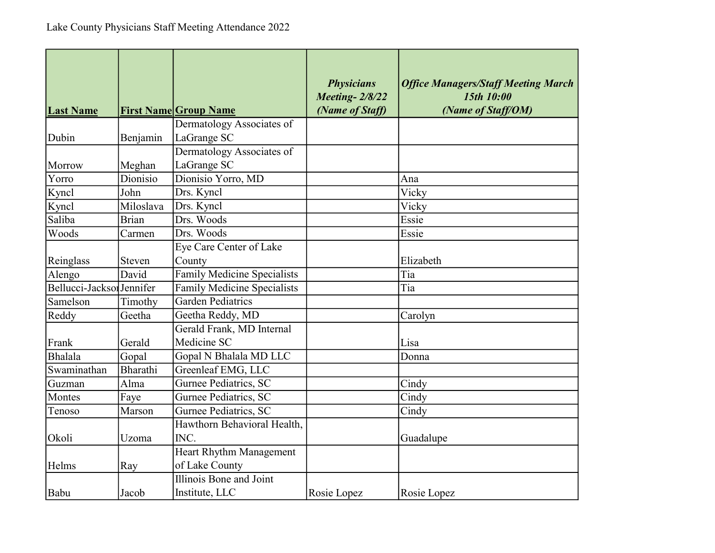| <b>Last Name</b>          |              | <b>First Name Group Name</b>             | <b>Physicians</b><br><b>Meeting-2/8/22</b><br>(Name of Staff) | <b>Office Managers/Staff Meeting March</b><br>15th 10:00<br>(Name of Staff/OM) |
|---------------------------|--------------|------------------------------------------|---------------------------------------------------------------|--------------------------------------------------------------------------------|
|                           |              | Dermatology Associates of                |                                                               |                                                                                |
| Dubin                     | Benjamin     | LaGrange SC                              |                                                               |                                                                                |
| Morrow                    | Meghan       | Dermatology Associates of<br>LaGrange SC |                                                               |                                                                                |
| Yorro                     | Dionisio     | Dionisio Yorro, MD                       |                                                               | Ana                                                                            |
| Kyncl                     | John         | Drs. Kyncl                               |                                                               | Vicky                                                                          |
| Kyncl                     | Miloslava    | Drs. Kyncl                               |                                                               | Vicky                                                                          |
| Saliba                    | <b>Brian</b> | Drs. Woods                               |                                                               | Essie                                                                          |
| Woods                     | Carmen       | Drs. Woods                               |                                                               | Essie                                                                          |
|                           |              | Eye Care Center of Lake                  |                                                               |                                                                                |
| Reinglass                 | Steven       | County                                   |                                                               | Elizabeth                                                                      |
| Alengo                    | David        | <b>Family Medicine Specialists</b>       |                                                               | Tia                                                                            |
| Bellucci-Jackson Jennifer |              | <b>Family Medicine Specialists</b>       |                                                               | Tia                                                                            |
| Samelson                  | Timothy      | Garden Pediatrics                        |                                                               |                                                                                |
| Reddy                     | Geetha       | Geetha Reddy, MD                         |                                                               | Carolyn                                                                        |
|                           |              | Gerald Frank, MD Internal                |                                                               |                                                                                |
| Frank                     | Gerald       | Medicine SC                              |                                                               | Lisa                                                                           |
| Bhalala                   | Gopal        | Gopal N Bhalala MD LLC                   |                                                               | Donna                                                                          |
| Swaminathan               | Bharathi     | Greenleaf EMG, LLC                       |                                                               |                                                                                |
| Guzman                    | Alma         | Gurnee Pediatrics, SC                    |                                                               | Cindy                                                                          |
| Montes                    | Faye         | Gurnee Pediatrics, SC                    |                                                               | Cindy                                                                          |
| Tenoso                    | Marson       | Gurnee Pediatrics, SC                    |                                                               | Cindy                                                                          |
|                           |              | Hawthorn Behavioral Health,              |                                                               |                                                                                |
| Okoli                     | Uzoma        | INC.                                     |                                                               | Guadalupe                                                                      |
|                           |              | <b>Heart Rhythm Management</b>           |                                                               |                                                                                |
| Helms                     | Ray          | of Lake County                           |                                                               |                                                                                |
|                           |              | Illinois Bone and Joint                  |                                                               |                                                                                |
| Babu                      | Jacob        | Institute, LLC                           | Rosie Lopez                                                   | Rosie Lopez                                                                    |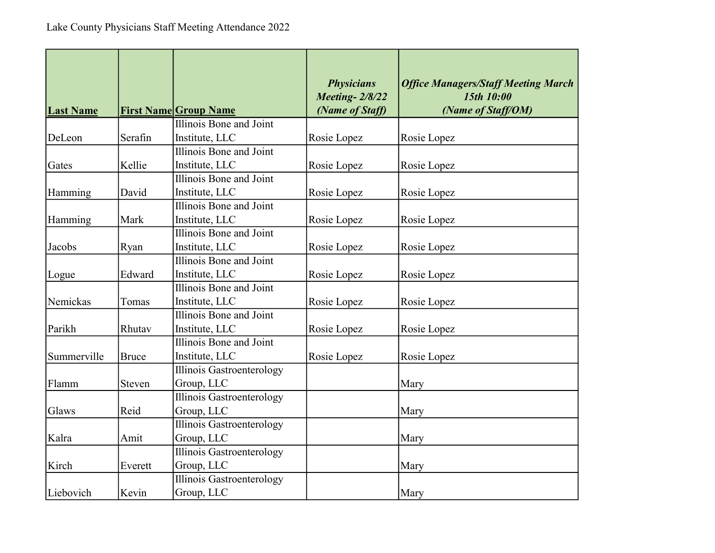| <b>Last Name</b> |              | <b>First Name Group Name</b> | <b>Physicians</b><br><b>Meeting-2/8/22</b><br>(Name of Staff) | <b>Office Managers/Staff Meeting March</b><br>15th 10:00<br>(Name of Staff/OM) |
|------------------|--------------|------------------------------|---------------------------------------------------------------|--------------------------------------------------------------------------------|
|                  |              | Illinois Bone and Joint      |                                                               |                                                                                |
| DeLeon           | Serafin      | Institute, LLC               | Rosie Lopez                                                   | Rosie Lopez                                                                    |
|                  |              | Illinois Bone and Joint      |                                                               |                                                                                |
| Gates            | Kellie       | Institute, LLC               | Rosie Lopez                                                   | Rosie Lopez                                                                    |
|                  |              | Illinois Bone and Joint      |                                                               |                                                                                |
| Hamming          | David        | Institute, LLC               | Rosie Lopez                                                   | Rosie Lopez                                                                    |
|                  |              | Illinois Bone and Joint      |                                                               |                                                                                |
| Hamming          | Mark         | Institute, LLC               | Rosie Lopez                                                   | Rosie Lopez                                                                    |
|                  |              | Illinois Bone and Joint      |                                                               |                                                                                |
| Jacobs           | Ryan         | Institute, LLC               | Rosie Lopez                                                   | Rosie Lopez                                                                    |
|                  |              | Illinois Bone and Joint      |                                                               |                                                                                |
| Logue            | Edward       | Institute, LLC               | Rosie Lopez                                                   | Rosie Lopez                                                                    |
|                  |              | Illinois Bone and Joint      |                                                               |                                                                                |
| Nemickas         | Tomas        | Institute, LLC               | Rosie Lopez                                                   | Rosie Lopez                                                                    |
|                  |              | Illinois Bone and Joint      |                                                               |                                                                                |
| Parikh           | Rhutav       | Institute, LLC               | Rosie Lopez                                                   | Rosie Lopez                                                                    |
|                  |              | Illinois Bone and Joint      |                                                               |                                                                                |
| Summerville      | <b>Bruce</b> | Institute, LLC               | Rosie Lopez                                                   | Rosie Lopez                                                                    |
|                  |              | Illinois Gastroenterology    |                                                               |                                                                                |
| Flamm            | Steven       | Group, LLC                   |                                                               | Mary                                                                           |
|                  |              | Illinois Gastroenterology    |                                                               |                                                                                |
| Glaws            | Reid         | Group, LLC                   |                                                               | Mary                                                                           |
|                  |              | Illinois Gastroenterology    |                                                               |                                                                                |
| Kalra            | Amit         | Group, LLC                   |                                                               | Mary                                                                           |
|                  |              | Illinois Gastroenterology    |                                                               |                                                                                |
| Kirch            | Everett      | Group, LLC                   |                                                               | Mary                                                                           |
|                  |              | Illinois Gastroenterology    |                                                               |                                                                                |
| Liebovich        | Kevin        | Group, LLC                   |                                                               | Mary                                                                           |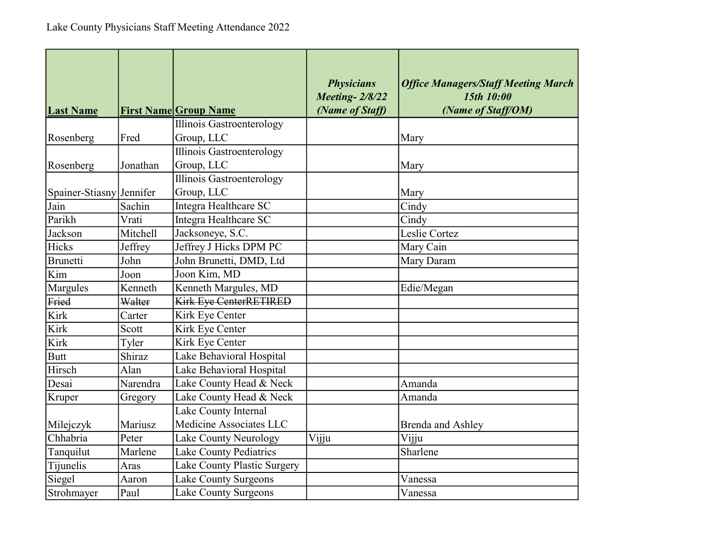| <b>Last Name</b>         |          | <b>First Name Group Name</b>      | <b>Physicians</b><br><b>Meeting-2/8/22</b><br>(Name of Staff) | <b>Office Managers/Staff Meeting March</b><br>15th 10:00<br>(Name of Staff/OM) |
|--------------------------|----------|-----------------------------------|---------------------------------------------------------------|--------------------------------------------------------------------------------|
|                          |          | Illinois Gastroenterology         |                                                               |                                                                                |
| Rosenberg                | Fred     | Group, LLC                        |                                                               | Mary                                                                           |
|                          |          | Illinois Gastroenterology         |                                                               |                                                                                |
| Rosenberg                | Jonathan | Group, LLC                        |                                                               | Mary                                                                           |
|                          |          | <b>Illinois Gastroenterology</b>  |                                                               |                                                                                |
| Spainer-Stiasny Jennifer |          | Group, LLC                        |                                                               | Mary                                                                           |
| Jain                     | Sachin   | Integra Healthcare SC             |                                                               | Cindy                                                                          |
| Parikh                   | Vrati    | Integra Healthcare SC             |                                                               | Cindy                                                                          |
| Jackson                  | Mitchell | Jacksoneye, S.C.                  |                                                               | Leslie Cortez                                                                  |
| Hicks                    | Jeffrey  | Jeffrey J Hicks DPM PC            |                                                               | Mary Cain                                                                      |
| Brunetti                 | John     | John Brunetti, DMD, Ltd           |                                                               | Mary Daram                                                                     |
| Kim                      | Joon     | $\overline{\text{Joon Kim}}$ , MD |                                                               |                                                                                |
| Margules                 | Kenneth  | Kenneth Margules, MD              |                                                               | Edie/Megan                                                                     |
| Fried                    | Walter   | Kirk Eye CenterRETIRED            |                                                               |                                                                                |
| Kirk                     | Carter   | Kirk Eye Center                   |                                                               |                                                                                |
| Kirk                     | Scott    | Kirk Eye Center                   |                                                               |                                                                                |
| Kirk                     | Tyler    | <b>Kirk Eye Center</b>            |                                                               |                                                                                |
| <b>Butt</b>              | Shiraz   | Lake Behavioral Hospital          |                                                               |                                                                                |
| Hirsch                   | Alan     | Lake Behavioral Hospital          |                                                               |                                                                                |
| Desai                    | Narendra | Lake County Head & Neck           |                                                               | Amanda                                                                         |
| Kruper                   | Gregory  | Lake County Head & Neck           |                                                               | Amanda                                                                         |
|                          |          | Lake County Internal              |                                                               |                                                                                |
| Milejczyk                | Mariusz  | Medicine Associates LLC           |                                                               | Brenda and Ashley                                                              |
| Chhabria                 | Peter    | Lake County Neurology             | Vijju                                                         | Vijju                                                                          |
| Tanquilut                | Marlene  | Lake County Pediatrics            |                                                               | Sharlene                                                                       |
| Tijunelis                | Aras     | Lake County Plastic Surgery       |                                                               |                                                                                |
| Siegel                   | Aaron    | Lake County Surgeons              |                                                               | Vanessa                                                                        |
| Strohmayer               | Paul     | <b>Lake County Surgeons</b>       |                                                               | Vanessa                                                                        |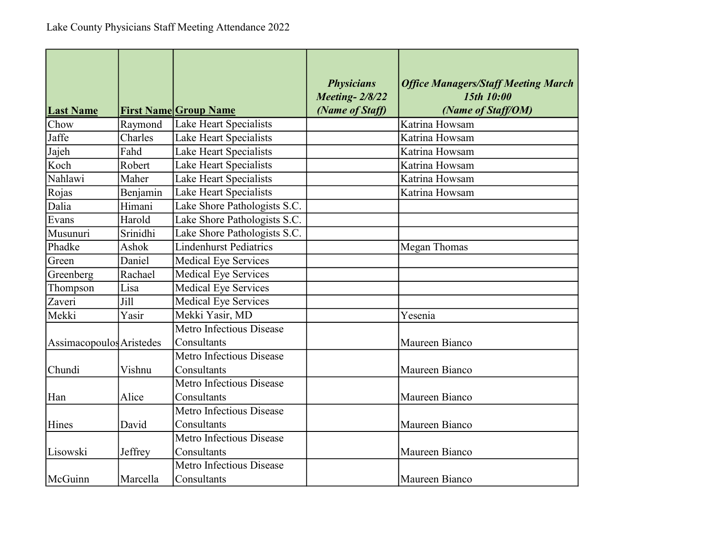| <b>Last Name</b>         |          | <b>First Name Group Name</b>    | <b>Physicians</b><br><b>Meeting-2/8/22</b><br>(Name of Staff) | <b>Office Managers/Staff Meeting March</b><br>15th 10:00<br>(Name of Staff/OM) |
|--------------------------|----------|---------------------------------|---------------------------------------------------------------|--------------------------------------------------------------------------------|
| Chow                     | Raymond  | Lake Heart Specialists          |                                                               | Katrina Howsam                                                                 |
| Jaffe                    | Charles  | Lake Heart Specialists          |                                                               | Katrina Howsam                                                                 |
| Jajeh                    | Fahd     | Lake Heart Specialists          |                                                               | Katrina Howsam                                                                 |
| Koch                     | Robert   | Lake Heart Specialists          |                                                               | Katrina Howsam                                                                 |
| Nahlawi                  | Maher    | Lake Heart Specialists          |                                                               | Katrina Howsam                                                                 |
| Rojas                    | Benjamin | Lake Heart Specialists          |                                                               | Katrina Howsam                                                                 |
| Dalia                    | Himani   | Lake Shore Pathologists S.C.    |                                                               |                                                                                |
| Evans                    | Harold   | Lake Shore Pathologists S.C.    |                                                               |                                                                                |
| Musunuri                 | Srinidhi | Lake Shore Pathologists S.C.    |                                                               |                                                                                |
| Phadke                   | Ashok    | <b>Lindenhurst Pediatrics</b>   |                                                               | Megan Thomas                                                                   |
| Green                    | Daniel   | <b>Medical Eye Services</b>     |                                                               |                                                                                |
| Greenberg                | Rachael  | <b>Medical Eye Services</b>     |                                                               |                                                                                |
| Thompson                 | Lisa     | <b>Medical Eye Services</b>     |                                                               |                                                                                |
| Zaveri                   | Jill     | <b>Medical Eye Services</b>     |                                                               |                                                                                |
| Mekki                    | Yasir    | Mekki Yasir, MD                 |                                                               | Yesenia                                                                        |
|                          |          | Metro Infectious Disease        |                                                               |                                                                                |
| Assimacopoulos Aristedes |          | Consultants                     |                                                               | Maureen Bianco                                                                 |
|                          |          | <b>Metro Infectious Disease</b> |                                                               |                                                                                |
| Chundi                   | Vishnu   | Consultants                     |                                                               | Maureen Bianco                                                                 |
|                          |          | Metro Infectious Disease        |                                                               |                                                                                |
| Han                      | Alice    | Consultants                     |                                                               | Maureen Bianco                                                                 |
|                          |          | Metro Infectious Disease        |                                                               |                                                                                |
| Hines                    | David    | Consultants                     |                                                               | Maureen Bianco                                                                 |
|                          |          | Metro Infectious Disease        |                                                               |                                                                                |
| Lisowski                 | Jeffrey  | Consultants                     |                                                               | Maureen Bianco                                                                 |
|                          |          | <b>Metro Infectious Disease</b> |                                                               |                                                                                |
| McGuinn                  | Marcella | Consultants                     |                                                               | Maureen Bianco                                                                 |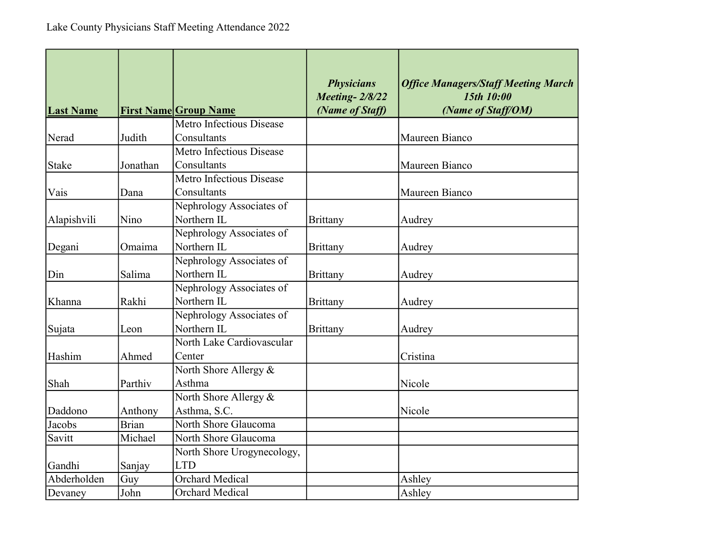| <b>Last Name</b> |              | <b>First Name Group Name</b> | <b>Physicians</b><br><b>Meeting-2/8/22</b><br>(Name of Staff) | <b>Office Managers/Staff Meeting March</b><br>15th 10:00<br>(Name of Staff/OM) |
|------------------|--------------|------------------------------|---------------------------------------------------------------|--------------------------------------------------------------------------------|
|                  |              | Metro Infectious Disease     |                                                               |                                                                                |
| Nerad            | Judith       | Consultants                  |                                                               | Maureen Bianco                                                                 |
|                  |              | Metro Infectious Disease     |                                                               |                                                                                |
| <b>Stake</b>     | Jonathan     | Consultants                  |                                                               | Maureen Bianco                                                                 |
|                  |              | Metro Infectious Disease     |                                                               |                                                                                |
| Vais             | Dana         | Consultants                  |                                                               | Maureen Bianco                                                                 |
|                  |              | Nephrology Associates of     |                                                               |                                                                                |
| Alapishvili      | Nino         | Northern IL                  | <b>Brittany</b>                                               | Audrey                                                                         |
|                  |              | Nephrology Associates of     |                                                               |                                                                                |
| Degani           | Omaima       | Northern IL                  | <b>Brittany</b>                                               | Audrey                                                                         |
|                  |              | Nephrology Associates of     |                                                               |                                                                                |
| Din              | Salima       | Northern IL                  | <b>Brittany</b>                                               | Audrey                                                                         |
|                  |              | Nephrology Associates of     |                                                               |                                                                                |
| Khanna           | Rakhi        | Northern IL                  | <b>Brittany</b>                                               | Audrey                                                                         |
|                  |              | Nephrology Associates of     |                                                               |                                                                                |
| Sujata           | Leon         | Northern IL                  | <b>Brittany</b>                                               | Audrey                                                                         |
|                  |              | North Lake Cardiovascular    |                                                               |                                                                                |
| Hashim           | Ahmed        | Center                       |                                                               | Cristina                                                                       |
|                  |              | North Shore Allergy &        |                                                               |                                                                                |
| Shah             | Parthiv      | Asthma                       |                                                               | Nicole                                                                         |
|                  |              | North Shore Allergy &        |                                                               |                                                                                |
| Daddono          | Anthony      | Asthma, S.C.                 |                                                               | Nicole                                                                         |
| Jacobs           | <b>Brian</b> | North Shore Glaucoma         |                                                               |                                                                                |
| Savitt           | Michael      | North Shore Glaucoma         |                                                               |                                                                                |
|                  |              | North Shore Urogynecology,   |                                                               |                                                                                |
| Gandhi           | Sanjay       | <b>LTD</b>                   |                                                               |                                                                                |
| Abderholden      | Guy          | <b>Orchard Medical</b>       |                                                               | Ashley                                                                         |
| Devaney          | John         | <b>Orchard Medical</b>       |                                                               | Ashley                                                                         |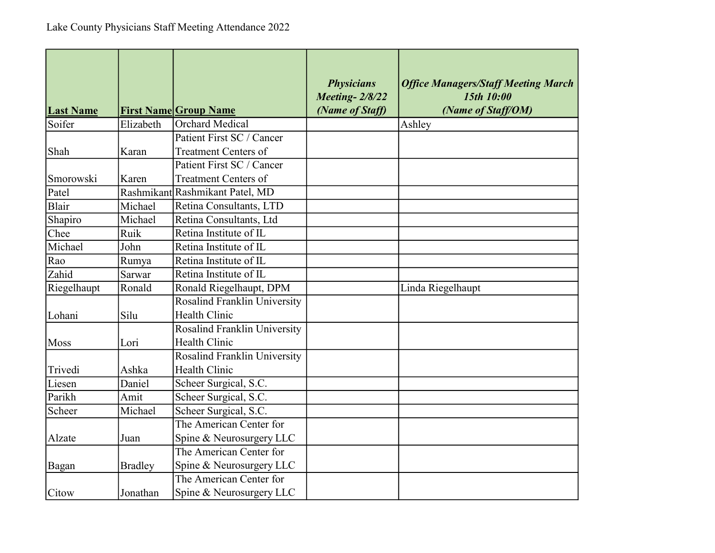| <b>Last Name</b> |                | <b>First Name Group Name</b>        | <b>Physicians</b><br><b>Meeting-2/8/22</b><br>(Name of Staff) | <b>Office Managers/Staff Meeting March</b><br>15th 10:00<br>(Name of Staff/OM) |
|------------------|----------------|-------------------------------------|---------------------------------------------------------------|--------------------------------------------------------------------------------|
| Soifer           | Elizabeth      | <b>Orchard Medical</b>              |                                                               | Ashley                                                                         |
|                  |                | Patient First SC / Cancer           |                                                               |                                                                                |
| Shah             | Karan          | <b>Treatment Centers of</b>         |                                                               |                                                                                |
|                  |                | Patient First SC / Cancer           |                                                               |                                                                                |
| Smorowski        | Karen          | <b>Treatment Centers of</b>         |                                                               |                                                                                |
| Patel            |                | Rashmikant Rashmikant Patel, MD     |                                                               |                                                                                |
| Blair            | Michael        | Retina Consultants, LTD             |                                                               |                                                                                |
| Shapiro          | Michael        | Retina Consultants, Ltd             |                                                               |                                                                                |
| Chee             | Ruik           | Retina Institute of IL              |                                                               |                                                                                |
| Michael          | John           | Retina Institute of IL              |                                                               |                                                                                |
| Rao              | Rumya          | Retina Institute of IL              |                                                               |                                                                                |
| Zahid            | Sarwar         | Retina Institute of IL              |                                                               |                                                                                |
| Riegelhaupt      | Ronald         | Ronald Riegelhaupt, DPM             |                                                               | Linda Riegelhaupt                                                              |
|                  |                | Rosalind Franklin University        |                                                               |                                                                                |
| Lohani           | Silu           | <b>Health Clinic</b>                |                                                               |                                                                                |
|                  |                | Rosalind Franklin University        |                                                               |                                                                                |
| Moss             | Lori           | Health Clinic                       |                                                               |                                                                                |
|                  |                | <b>Rosalind Franklin University</b> |                                                               |                                                                                |
| Trivedi          | Ashka          | <b>Health Clinic</b>                |                                                               |                                                                                |
| Liesen           | Daniel         | Scheer Surgical, S.C.               |                                                               |                                                                                |
| Parikh           | Amit           | Scheer Surgical, S.C.               |                                                               |                                                                                |
| Scheer           | Michael        | Scheer Surgical, S.C.               |                                                               |                                                                                |
|                  |                | The American Center for             |                                                               |                                                                                |
| Alzate           | Juan           | Spine & Neurosurgery LLC            |                                                               |                                                                                |
|                  |                | The American Center for             |                                                               |                                                                                |
| Bagan            | <b>Bradley</b> | Spine & Neurosurgery LLC            |                                                               |                                                                                |
|                  |                | The American Center for             |                                                               |                                                                                |
| Citow            | Jonathan       | Spine & Neurosurgery LLC            |                                                               |                                                                                |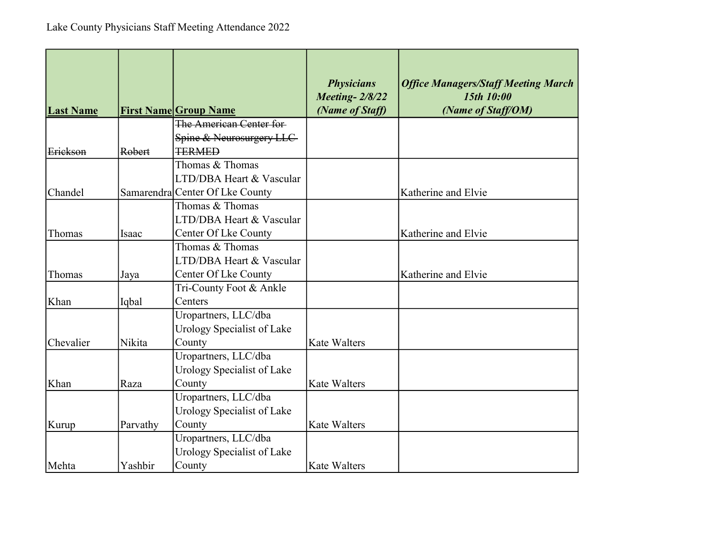| <b>Last Name</b> |          | <b>First Name Group Name</b>    | <b>Physicians</b><br><b>Meeting-2/8/22</b><br>(Name of Staff) | <b>Office Managers/Staff Meeting March</b><br>15th 10:00<br>(Name of Staff/OM) |
|------------------|----------|---------------------------------|---------------------------------------------------------------|--------------------------------------------------------------------------------|
|                  |          | The American Center for         |                                                               |                                                                                |
|                  |          | Spine & Neurosurgery LLC        |                                                               |                                                                                |
| Erickson         | Robert   | <b>TERMED</b>                   |                                                               |                                                                                |
|                  |          | Thomas & Thomas                 |                                                               |                                                                                |
|                  |          | LTD/DBA Heart & Vascular        |                                                               |                                                                                |
| Chandel          |          | Samarendra Center Of Lke County |                                                               | Katherine and Elvie                                                            |
|                  |          | Thomas & Thomas                 |                                                               |                                                                                |
|                  |          | LTD/DBA Heart & Vascular        |                                                               |                                                                                |
| Thomas           | Isaac    | Center Of Lke County            |                                                               | Katherine and Elvie                                                            |
|                  |          | Thomas & Thomas                 |                                                               |                                                                                |
|                  |          | LTD/DBA Heart & Vascular        |                                                               |                                                                                |
| Thomas           | Jaya     | Center Of Lke County            |                                                               | Katherine and Elvie                                                            |
|                  |          | Tri-County Foot & Ankle         |                                                               |                                                                                |
| Khan             | Iqbal    | Centers                         |                                                               |                                                                                |
|                  |          | Uropartners, LLC/dba            |                                                               |                                                                                |
|                  |          | Urology Specialist of Lake      |                                                               |                                                                                |
| Chevalier        | Nikita   | County                          | <b>Kate Walters</b>                                           |                                                                                |
|                  |          | Uropartners, LLC/dba            |                                                               |                                                                                |
|                  |          | Urology Specialist of Lake      |                                                               |                                                                                |
| Khan             | Raza     | County                          | <b>Kate Walters</b>                                           |                                                                                |
|                  |          | Uropartners, LLC/dba            |                                                               |                                                                                |
|                  |          | Urology Specialist of Lake      |                                                               |                                                                                |
| Kurup            | Parvathy | County                          | <b>Kate Walters</b>                                           |                                                                                |
|                  |          | Uropartners, LLC/dba            |                                                               |                                                                                |
|                  |          | Urology Specialist of Lake      |                                                               |                                                                                |
| Mehta            | Yashbir  | County                          | <b>Kate Walters</b>                                           |                                                                                |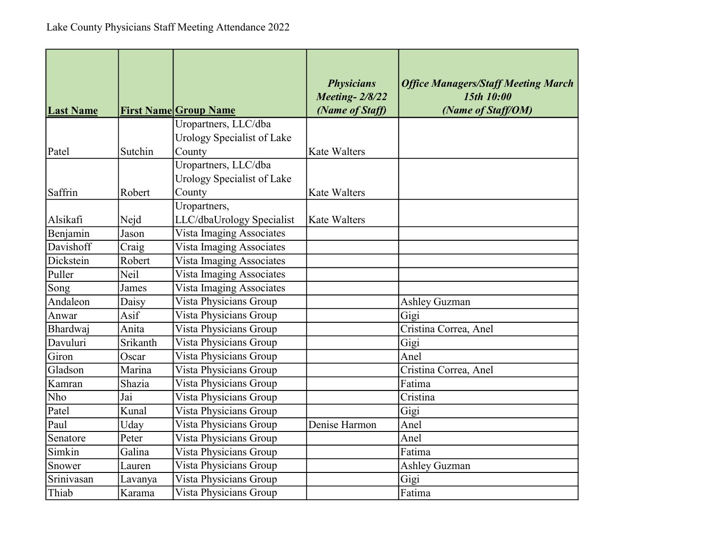| <b>Last Name</b> |          | <b>First Name Group Name</b> | <b>Physicians</b><br><b>Meeting-2/8/22</b><br>(Name of Staff) | <b>Office Managers/Staff Meeting March</b><br>15th 10:00<br>(Name of Staff/OM) |
|------------------|----------|------------------------------|---------------------------------------------------------------|--------------------------------------------------------------------------------|
|                  |          | Uropartners, LLC/dba         |                                                               |                                                                                |
|                  |          | Urology Specialist of Lake   |                                                               |                                                                                |
| Patel            | Sutchin  | County                       | <b>Kate Walters</b>                                           |                                                                                |
|                  |          | Uropartners, LLC/dba         |                                                               |                                                                                |
|                  |          | Urology Specialist of Lake   |                                                               |                                                                                |
| Saffrin          | Robert   | County                       | <b>Kate Walters</b>                                           |                                                                                |
|                  |          | Uropartners,                 |                                                               |                                                                                |
| Alsikafi         | Nejd     | LLC/dbaUrology Specialist    | <b>Kate Walters</b>                                           |                                                                                |
| Benjamin         | Jason    | Vista Imaging Associates     |                                                               |                                                                                |
| Davishoff        | Craig    | Vista Imaging Associates     |                                                               |                                                                                |
| Dickstein        | Robert   | Vista Imaging Associates     |                                                               |                                                                                |
| Puller           | Neil     | Vista Imaging Associates     |                                                               |                                                                                |
| Song             | James    | Vista Imaging Associates     |                                                               |                                                                                |
| Andaleon         | Daisy    | Vista Physicians Group       |                                                               | <b>Ashley Guzman</b>                                                           |
| Anwar            | Asif     | Vista Physicians Group       |                                                               | Gigi                                                                           |
| Bhardwaj         | Anita    | Vista Physicians Group       |                                                               | Cristina Correa, Anel                                                          |
| Davuluri         | Srikanth | Vista Physicians Group       |                                                               | Gigi                                                                           |
| Giron            | Oscar    | Vista Physicians Group       |                                                               | Anel                                                                           |
| Gladson          | Marina   | Vista Physicians Group       |                                                               | Cristina Correa, Anel                                                          |
| Kamran           | Shazia   | Vista Physicians Group       |                                                               | Fatima                                                                         |
| Nho              | Jai      | Vista Physicians Group       |                                                               | Cristina                                                                       |
| Patel            | Kunal    | Vista Physicians Group       |                                                               | Gigi                                                                           |
| Paul             | Uday     | Vista Physicians Group       | Denise Harmon                                                 | Anel                                                                           |
| Senatore         | Peter    | Vista Physicians Group       |                                                               | Anel                                                                           |
| Simkin           | Galina   | Vista Physicians Group       |                                                               | Fatima                                                                         |
| Snower           | Lauren   | Vista Physicians Group       |                                                               | <b>Ashley Guzman</b>                                                           |
| Srinivasan       | Lavanya  | Vista Physicians Group       |                                                               | Gigi                                                                           |
| Thiab            | Karama   | Vista Physicians Group       |                                                               | Fatima                                                                         |